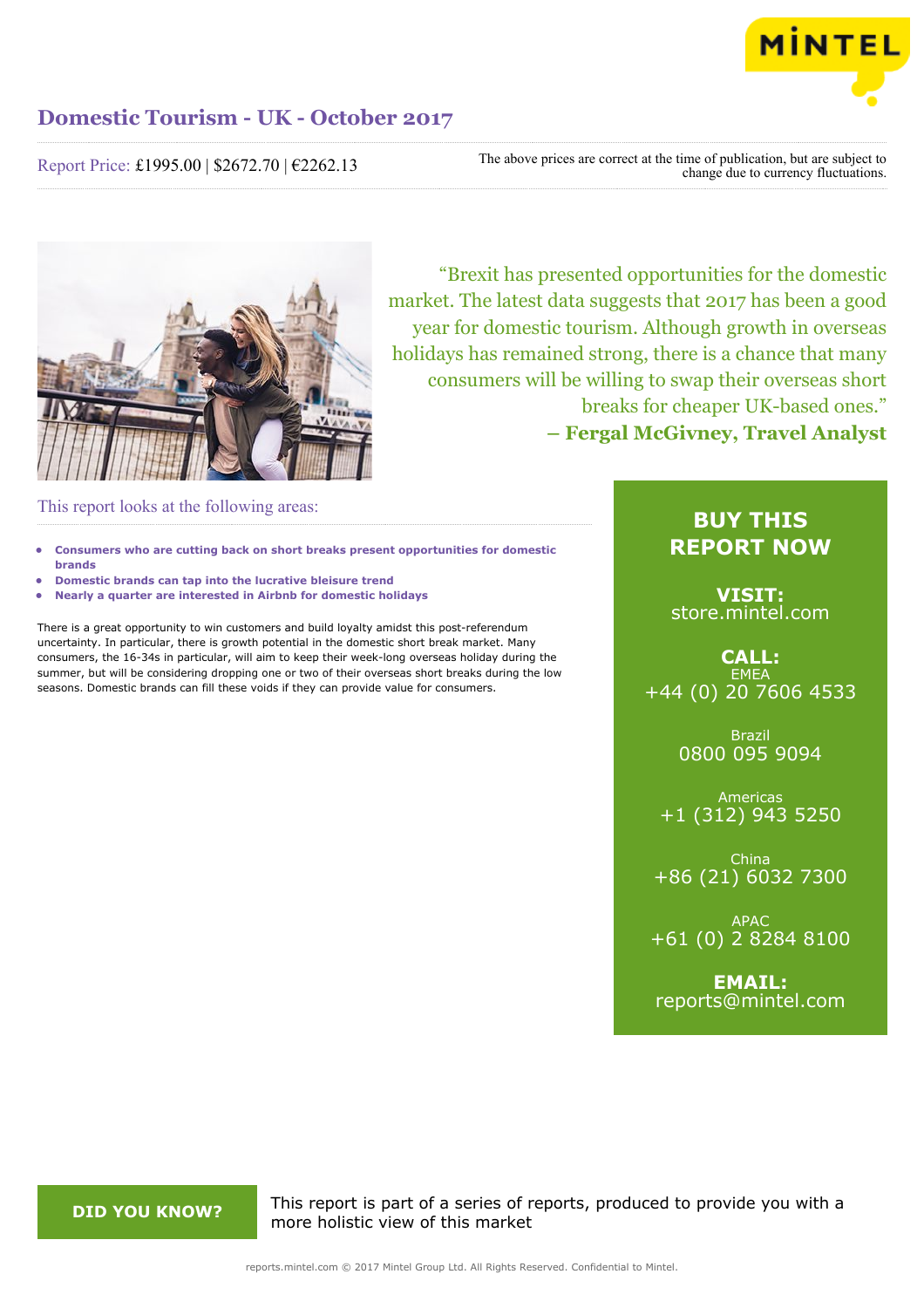

Report Price: £1995.00 | \$2672.70 | €2262.13

The above prices are correct at the time of publication, but are subject to change due to currency fluctuations.



"Brexit has presented opportunities for the domestic market. The latest data suggests that 2017 has been a good year for domestic tourism. Although growth in overseas holidays has remained strong, there is a chance that many consumers will be willing to swap their overseas short breaks for cheaper UK-based ones." **– Fergal McGivney, Travel Analyst**

This report looks at the following areas:

- **• Consumers who are cutting back on short breaks present opportunities for domestic brands**
- **• Domestic brands can tap into the lucrative bleisure trend**
- **• Nearly a quarter are interested in Airbnb for domestic holidays**

There is a great opportunity to win customers and build loyalty amidst this post-referendum uncertainty. In particular, there is growth potential in the domestic short break market. Many consumers, the 16-34s in particular, will aim to keep their week-long overseas holiday during the summer, but will be considering dropping one or two of their overseas short breaks during the low seasons. Domestic brands can fill these voids if they can provide value for consumers.

### **BUY THIS REPORT NOW**

**VISIT:** [store.mintel.com](http://reports.mintel.com//display/store/793849/)

**CALL: EMEA** +44 (0) 20 7606 4533

> Brazil 0800 095 9094

Americas +1 (312) 943 5250

China +86 (21) 6032 7300

APAC +61 (0) 2 8284 8100

**EMAIL:** [reports@mintel.com](mailto:reports@mintel.com)

**DID YOU KNOW?** This report is part of a series of reports, produced to provide you with a more holistic view of this market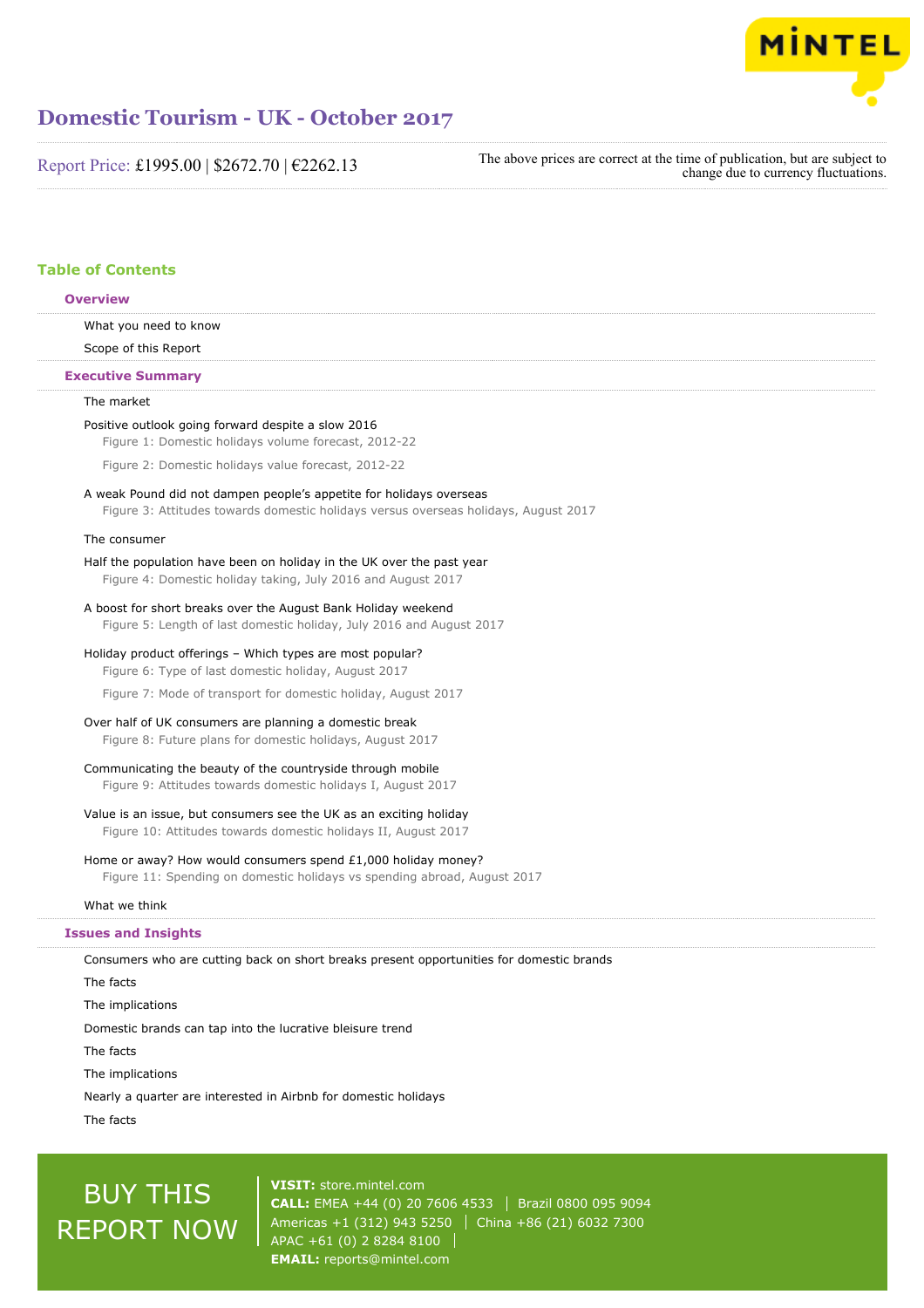

Report Price: £1995.00 | \$2672.70 | €2262.13

The above prices are correct at the time of publication, but are subject to change due to currency fluctuations.

### **Table of Contents**

#### **Overview**

What you need to know

## Scope of this Report

**Executive Summary**

### The market

#### Positive outlook going forward despite a slow 2016

Figure 1: Domestic holidays volume forecast, 2012-22

Figure 2: Domestic holidays value forecast, 2012-22

#### A weak Pound did not dampen people's appetite for holidays overseas Figure 3: Attitudes towards domestic holidays versus overseas holidays, August 2017

#### The consumer

#### Half the population have been on holiday in the UK over the past year Figure 4: Domestic holiday taking, July 2016 and August 2017

A boost for short breaks over the August Bank Holiday weekend

Figure 5: Length of last domestic holiday, July 2016 and August 2017

Holiday product offerings – Which types are most popular?

Figure 6: Type of last domestic holiday, August 2017

Figure 7: Mode of transport for domestic holiday, August 2017

Over half of UK consumers are planning a domestic break

Figure 8: Future plans for domestic holidays, August 2017

#### Communicating the beauty of the countryside through mobile

Figure 9: Attitudes towards domestic holidays I, August 2017

#### Value is an issue, but consumers see the UK as an exciting holiday Figure 10: Attitudes towards domestic holidays II, August 2017

#### Home or away? How would consumers spend £1,000 holiday money?

Figure 11: Spending on domestic holidays vs spending abroad, August 2017

#### What we think

#### **Issues and Insights**

Consumers who are cutting back on short breaks present opportunities for domestic brands

The facts

The implications

Domestic brands can tap into the lucrative bleisure trend

The facts

The implications

Nearly a quarter are interested in Airbnb for domestic holidays

The facts

# BUY THIS REPORT NOW

**VISIT:** [store.mintel.com](http://reports.mintel.com//display/store/793849/) **CALL:** EMEA +44 (0) 20 7606 4533 Brazil 0800 095 9094 Americas +1 (312) 943 5250 | China +86 (21) 6032 7300 APAC +61 (0) 2 8284 8100 **EMAIL:** [reports@mintel.com](mailto:reports@mintel.com)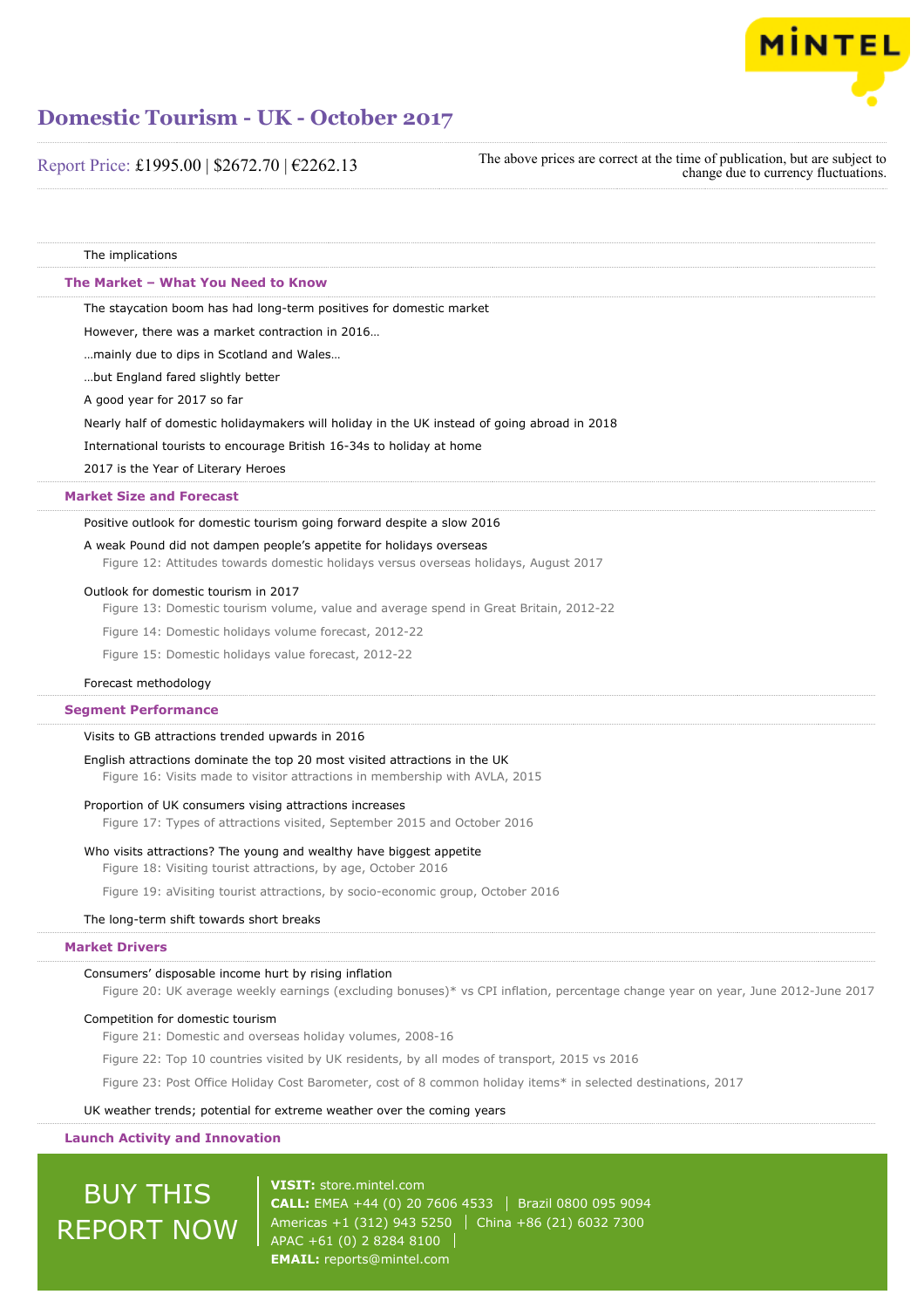

Report Price: £1995.00 | \$2672.70 | €2262.13

The above prices are correct at the time of publication, but are subject to change due to currency fluctuations.

The implications The staycation boom has had long-term positives for domestic market However, there was a market contraction in 2016… …mainly due to dips in Scotland and Wales… …but England fared slightly better A good year for 2017 so far Nearly half of domestic holidaymakers will holiday in the UK instead of going abroad in 2018 International tourists to encourage British 16-34s to holiday at home 2017 is the Year of Literary Heroes Positive outlook for domestic tourism going forward despite a slow 2016 A weak Pound did not dampen people's appetite for holidays overseas Figure 12: Attitudes towards domestic holidays versus overseas holidays, August 2017 Outlook for domestic tourism in 2017 Figure 13: Domestic tourism volume, value and average spend in Great Britain, 2012-22 Figure 14: Domestic holidays volume forecast, 2012-22 Figure 15: Domestic holidays value forecast, 2012-22 Forecast methodology Visits to GB attractions trended upwards in 2016 English attractions dominate the top 20 most visited attractions in the UK Figure 16: Visits made to visitor attractions in membership with AVLA, 2015 **The Market – What You Need to Know Market Size and Forecast Segment Performance**

#### Proportion of UK consumers vising attractions increases

Figure 17: Types of attractions visited, September 2015 and October 2016

#### Who visits attractions? The young and wealthy have biggest appetite

Figure 18: Visiting tourist attractions, by age, October 2016

Figure 19: aVisiting tourist attractions, by socio-economic group, October 2016

#### The long-term shift towards short breaks

#### **Market Drivers**

#### Consumers' disposable income hurt by rising inflation

Figure 20: UK average weekly earnings (excluding bonuses)\* vs CPI inflation, percentage change year on year, June 2012-June 2017

#### Competition for domestic tourism

Figure 21: Domestic and overseas holiday volumes, 2008-16

Figure 22: Top 10 countries visited by UK residents, by all modes of transport, 2015 vs 2016

Figure 23: Post Office Holiday Cost Barometer, cost of 8 common holiday items\* in selected destinations, 2017

#### UK weather trends; potential for extreme weather over the coming years

#### **Launch Activity and Innovation**

# BUY THIS REPORT NOW

**VISIT:** [store.mintel.com](http://reports.mintel.com//display/store/793849/) **CALL:** EMEA +44 (0) 20 7606 4533 Brazil 0800 095 9094 Americas +1 (312) 943 5250 | China +86 (21) 6032 7300 APAC +61 (0) 2 8284 8100 **EMAIL:** [reports@mintel.com](mailto:reports@mintel.com)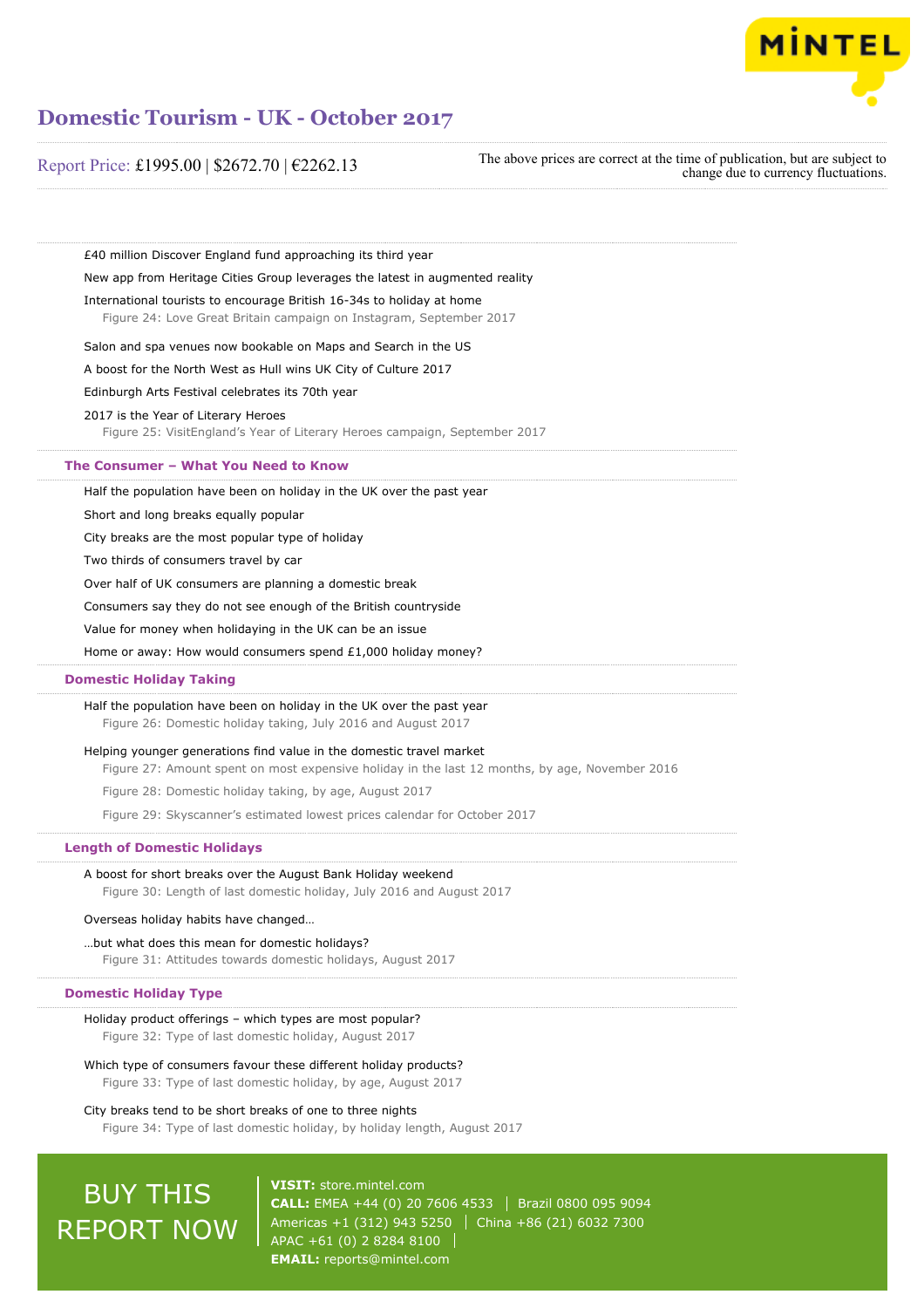

### Report Price: £1995.00 | \$2672.70 | €2262.13

The above prices are correct at the time of publication, but are subject to change due to currency fluctuations.

£40 million Discover England fund approaching its third year New app from Heritage Cities Group leverages the latest in augmented reality

International tourists to encourage British 16-34s to holiday at home

Figure 24: Love Great Britain campaign on Instagram, September 2017

Salon and spa venues now bookable on Maps and Search in the US

A boost for the North West as Hull wins UK City of Culture 2017

Edinburgh Arts Festival celebrates its 70th year

2017 is the Year of Literary Heroes

Figure 25: VisitEngland's Year of Literary Heroes campaign, September 2017

#### **The Consumer – What You Need to Know**

Half the population have been on holiday in the UK over the past year

Short and long breaks equally popular

City breaks are the most popular type of holiday

Two thirds of consumers travel by car

Over half of UK consumers are planning a domestic break

Consumers say they do not see enough of the British countryside

Value for money when holidaying in the UK can be an issue

Home or away: How would consumers spend £1,000 holiday money?

#### **Domestic Holiday Taking**

Half the population have been on holiday in the UK over the past year Figure 26: Domestic holiday taking, July 2016 and August 2017

#### Helping younger generations find value in the domestic travel market

Figure 27: Amount spent on most expensive holiday in the last 12 months, by age, November 2016

Figure 28: Domestic holiday taking, by age, August 2017

Figure 29: Skyscanner's estimated lowest prices calendar for October 2017

#### **Length of Domestic Holidays**

A boost for short breaks over the August Bank Holiday weekend Figure 30: Length of last domestic holiday, July 2016 and August 2017

#### Overseas holiday habits have changed…

#### …but what does this mean for domestic holidays?

Figure 31: Attitudes towards domestic holidays, August 2017

#### **Domestic Holiday Type**

### Holiday product offerings – which types are most popular?

Figure 32: Type of last domestic holiday, August 2017

### Which type of consumers favour these different holiday products?

Figure 33: Type of last domestic holiday, by age, August 2017

#### City breaks tend to be short breaks of one to three nights

Figure 34: Type of last domestic holiday, by holiday length, August 2017

# **BUY THIS** REPORT NOW

**VISIT:** [store.mintel.com](http://reports.mintel.com//display/store/793849/) **CALL:** EMEA +44 (0) 20 7606 4533 Brazil 0800 095 9094 Americas +1 (312) 943 5250 China +86 (21) 6032 7300 APAC +61 (0) 2 8284 8100 **EMAIL:** [reports@mintel.com](mailto:reports@mintel.com)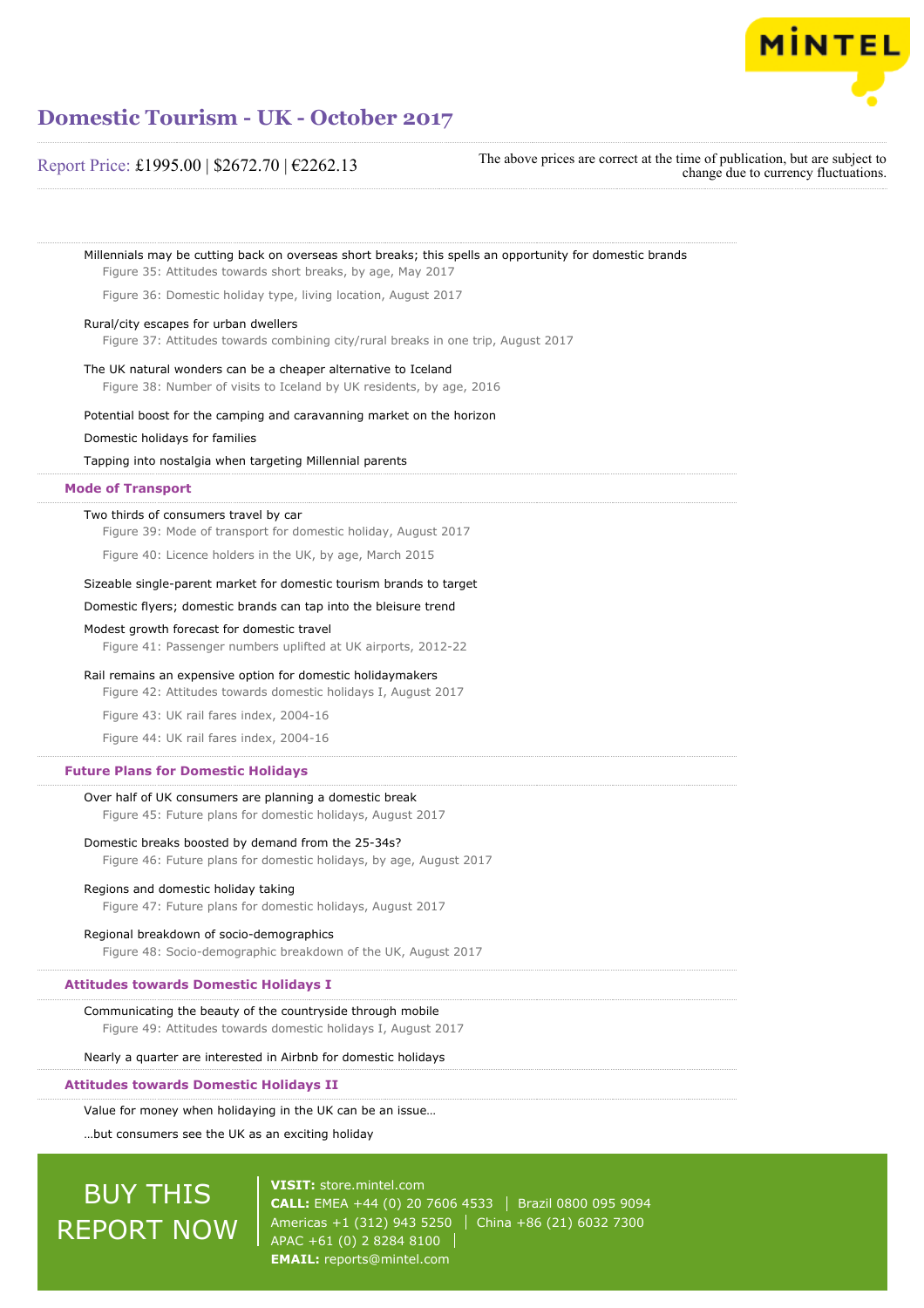

### Report Price: £1995.00 | \$2672.70 | €2262.13

The above prices are correct at the time of publication, but are subject to change due to currency fluctuations.

| Figure 35: Attitudes towards short breaks, by age, May 2017                                                                  | Millennials may be cutting back on overseas short breaks; this spells an opportunity for domestic brands |
|------------------------------------------------------------------------------------------------------------------------------|----------------------------------------------------------------------------------------------------------|
| Figure 36: Domestic holiday type, living location, August 2017                                                               |                                                                                                          |
| Rural/city escapes for urban dwellers                                                                                        | Figure 37: Attitudes towards combining city/rural breaks in one trip, August 2017                        |
| The UK natural wonders can be a cheaper alternative to Iceland                                                               | Figure 38: Number of visits to Iceland by UK residents, by age, 2016                                     |
| Potential boost for the camping and caravanning market on the horizon                                                        |                                                                                                          |
| Domestic holidays for families                                                                                               |                                                                                                          |
| Tapping into nostalgia when targeting Millennial parents                                                                     |                                                                                                          |
| <b>Mode of Transport</b>                                                                                                     |                                                                                                          |
| Two thirds of consumers travel by car<br>Figure 39: Mode of transport for domestic holiday, August 2017                      |                                                                                                          |
| Figure 40: Licence holders in the UK, by age, March 2015                                                                     |                                                                                                          |
| Sizeable single-parent market for domestic tourism brands to target                                                          |                                                                                                          |
| Domestic flyers; domestic brands can tap into the bleisure trend                                                             |                                                                                                          |
| Modest growth forecast for domestic travel<br>Figure 41: Passenger numbers uplifted at UK airports, 2012-22                  |                                                                                                          |
| Rail remains an expensive option for domestic holidaymakers<br>Figure 42: Attitudes towards domestic holidays I, August 2017 |                                                                                                          |
| Figure 43: UK rail fares index, 2004-16                                                                                      |                                                                                                          |
| Figure 44: UK rail fares index, 2004-16                                                                                      |                                                                                                          |
| <b>Future Plans for Domestic Holidays</b>                                                                                    |                                                                                                          |
| Over half of UK consumers are planning a domestic break<br>Figure 45: Future plans for domestic holidays, August 2017        |                                                                                                          |
| Domestic breaks boosted by demand from the 25-34s?                                                                           |                                                                                                          |
|                                                                                                                              | Figure 46: Future plans for domestic holidays, by age, August 2017                                       |
| Regions and domestic holiday taking<br>Figure 47: Future plans for domestic holidays, August 2017                            |                                                                                                          |
| Regional breakdown of socio-demographics                                                                                     |                                                                                                          |
| Figure 48: Socio-demographic breakdown of the UK, August 2017                                                                |                                                                                                          |
| <b>Attitudes towards Domestic Holidays I</b>                                                                                 |                                                                                                          |
| Communicating the beauty of the countryside through mobile<br>Figure 49: Attitudes towards domestic holidays I, August 2017  |                                                                                                          |
| Nearly a quarter are interested in Airbnb for domestic holidays                                                              |                                                                                                          |
| <b>Attitudes towards Domestic Holidays II</b>                                                                                |                                                                                                          |
| Value for money when holidaying in the UK can be an issue                                                                    |                                                                                                          |
| but consumers see the UK as an exciting holiday                                                                              |                                                                                                          |
|                                                                                                                              |                                                                                                          |
| <b>BUY THIS</b>                                                                                                              | <b>VISIT: store.mintel.com</b>                                                                           |
|                                                                                                                              | CALL: EMEA +44 (0) 20 7606 4533<br>Brazil 0800 095 9094                                                  |
| <b>REPORT NOW</b>                                                                                                            | Americas +1 (312) 943 5250<br>China +86 (21) 6032 7300                                                   |

 $\sqrt{$  APAC +61 (0) 2 8284 8100  $\sqrt{}$ **EMAIL:** [reports@mintel.com](mailto:reports@mintel.com)